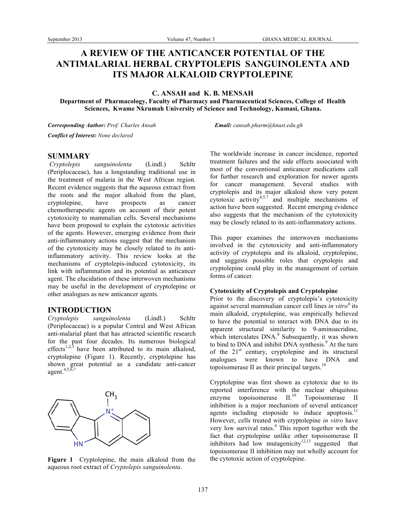# **A REVIEW OF THE ANTICANCER POTENTIAL OF THE ANTIMALARIAL HERBAL CRYPTOLEPIS SANGUINOLENTA AND ITS MAJOR ALKALOID CRYPTOLEPINE**

**C. ANSAH and K. B. MENSAH**

**Department of Pharmacology, Faculty of Pharmacy and Pharmaceutical Sciences, College of Health Sciences, Kwame Nkrumah University of Science and Technology, Kumasi, Ghana.**

*Corresponding Author: Prof. Charles Ansah Email: cansah.pharm@knust.edu.gh Conflict of Interest: None declared*

## **SUMMARY**

*Cryptolepis sanguinolenta* (Lindl.) Schltr (Periplocaceae), has a longstanding traditional use in the treatment of malaria in the West African region. Recent evidence suggests that the aqueous extract from the roots and the major alkaloid from the plant, cryptolepine, have prospects as cancer chemotherapeutic agents on account of their potent cytotoxicity to mammalian cells. Several mechanisms have been proposed to explain the cytotoxic activities of the agents. However, emerging evidence from their anti-inflammatory actions suggest that the mechanism of the cytotoxicity may be closely related to its antiinflammatory activity. This review looks at the mechanisms of cryptolepis-induced cytotoxicity, its link with inflammation and its potential as anticancer agent. The elucidation of these interwoven mechanisms may be useful in the development of cryptolepine or other analogues as new anticancer agents.

## **INTRODUCTION**

*Cryptolepis sanguinolenta* (Lindl.) Schltr (Periplocaceae) is a popular Central and West African anti-malarial plant that has attracted scientific research for the past four decades. Its numerous biological effects<sup>1,2,3</sup> have been attributed to its main alkaloid, cryptolepine (Figure 1). Recently, cryptolepine has shown great potential as a candidate anti-cancer agent. 4,5,6,7



**Figure 1** Cryptolepine, the main alkaloid from the aqueous root extract of *Cryptolepis sanguinolenta*.

The worldwide increase in cancer incidence, reported treatment failures and the side effects associated with most of the conventional anticancer medications call for further research and exploration for newer agents for cancer management. Several studies with cryptolepis and its major alkaloid show very potent cytotoxic activity<sup>4,5,7</sup> and multiple mechanisms of action have been suggested. Recent emerging evidence also suggests that the mechanism of the cytotoxicity may be closely related to its anti-inflammatory actions.

This paper examines the interwoven mechanisms involved in the cytotoxicity and anti-inflammatory activity of cryptolepis and its alkaloid, cryptolepine, and suggests possible roles that cryptolepis and cryptolepine could play in the management of certain forms of cancer.

### **Cytotoxicity of Cryptolepis and Cryptolepine**

Prior to the discovery of cryptolepis's cytotoxicity against several mammalian cancer cell lines *in vitro*<sup>4</sup> its main alkaloid, cryptolepine, was empirically believed to have the potential to interact with DNA due to its apparent structural similarity to 9-aminoacridine, which intercalates DNA.<sup>8</sup> Subsequently, it was shown to bind to DNA and inhibit DNA synthesis. <sup>9</sup> At the turn of the  $21<sup>st</sup>$  century, cryptolepine and its structural analogues were known to have DNA and topoisomerase II as their principal targets. $10$ 

Cryptolepine was first shown as cytotoxic due to its reported interference with the nuclear ubiquitous enzyme topoisomerase II.<sup>10</sup> Topoisomerase II inhibition is a major mechanism of several anticancer agents including etoposide to induce apoptosis. $11$ However, cells treated with cryptolepine *in vitro* have very low survival rates. <sup>4</sup> This report together with the fact that cryptolepine unlike other topoisomerase II inhibitors had low mutagenicity $12,13$  suggested that topoisomerase II inhibition may not wholly account for the cytotoxic action of cryptolepine.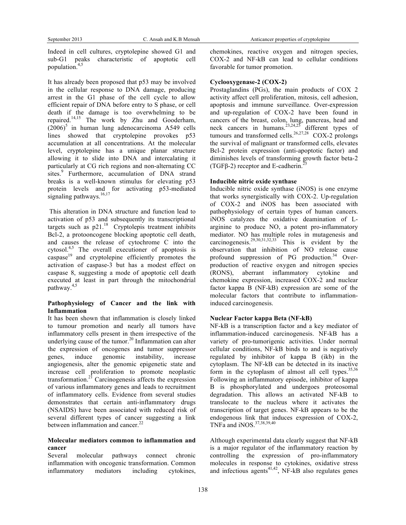Indeed in cell cultures, cryptolepine showed G1 and sub-G1 peaks characteristic of apoptotic cell population. 4,5

It has already been proposed that p53 may be involved in the cellular response to DNA damage, producing arrest in the G1 phase of the cell cycle to allow efficient repair of DNA before entry to S phase, or cell death if the damage is too overwhelming to be repaired.<sup>14,15</sup> The work by Zhu and Gooderham,  $(2006)^5$  in human lung adenocarcinoma A549 cells lines showed that cryptolepine provokes p53 accumulation at all concentrations. At the molecular level, cryptolepine has a unique planar structure allowing it to slide into DNA and intercalating it particularly at CG rich regions and non-alternating CC sites.<sup>9</sup> Furthermore, accumulation of DNA strand breaks is a well-known stimulus for elevating p53 protein levels and for activating p53-mediated signaling pathways.<sup>16,17</sup>

This alteration in DNA structure and function lead to activation of p53 and subsequently its transcriptional targets such as  $p21$ .<sup>18</sup> Cryptolepis treatment inhibits Bcl-2, a protooncogene blocking apoptotic cell death, and causes the release of cytochrome C into the cytosol. 4,5 The overall executioner of apoptosis is caspase<sup>19</sup> and cryptolepine efficiently promotes the activation of caspase-3 but has a modest effect on caspase 8, suggesting a mode of apoptotic cell death executed at least in part through the mitochondrial pathway.<sup>4,5</sup>

## **Pathophysiology of Cancer and the link with Inflammation**

It has been shown that inflammation is closely linked to tumour promotion and nearly all tumors have inflammatory cells present in them irrespective of the underlying cause of the tumor. <sup>20</sup> Inflammation can alter the expression of oncogenes and tumor suppressor genes, induce genomic instability, increase angiogenesis, alter the genomic epigenetic state and increase cell proliferation to promote neoplastic transformation.<sup>21</sup> Carcinogenesis affects the expression of various inflammatory genes and leads to recruitment of inflammatory cells. Evidence from several studies demonstrates that certain anti-inflammatory drugs (NSAIDS) have been associated with reduced risk of several different types of cancer suggesting a link between inflammation and cancer.<sup>22</sup>

### **Molecular mediators common to inflammation and cancer**

Several molecular pathways connect chronic inflammation with oncogenic transformation. Common inflammatory mediators including cytokines,

chemokines, reactive oxygen and nitrogen species, COX-2 and NF-kB can lead to cellular conditions favorable for tumor promotion.

#### **Cyclooxygenase-2 (COX-2)**

Prostaglandins (PGs), the main products of COX 2 activity affect cell proliferation, mitosis, cell adhesion, apoptosis and immune surveillance. Over-expression and up-regulation of COX-2 have been found in cancers of the breast, colon, lung, pancreas, head and neck cancers in humans.<sup>23,24,25</sup> different types of tumours and transformed cells.<sup>26,27,28</sup> COX-2 prolongs the survival of malignant or transformed cells, elevates Bcl-2 protein expression (anti-apoptotic factor) and diminishes levels of transforming growth factor beta-2 (TGF $\beta$ -2) receptor and E-cadherin.<sup>25</sup>

## **Inducible nitric oxide synthase**

Inducible nitric oxide synthase (iNOS) is one enzyme that works synergistically with COX-2. Up-regulation of COX-2 and iNOS has been associated with pathophysiology of certain types of human cancers. iNOS catalyzes the oxidative deamination of Larginine to produce NO, a potent pro-inflammatory mediator. NO has multiple roles in mutagenesis and carcinogenesis.<sup>29,30,31,32,33</sup> This is evident by the observation that inhibition of NO release cause profound suppression of PG production.<sup>34</sup> Overproduction of reactive oxygen and nitrogen species (RONS), aberrant inflammatory cytokine and chemokine expression, increased COX-2 and nuclear factor kappa B (NF-kB) expression are some of the molecular factors that contribute to inflammationinduced carcinogenesis.

### **Nuclear Factor kappa Beta (NF-kB)**

NF-kB is a transcription factor and a key mediator of inflammation-induced carcinogenesis. NF-kB has a variety of pro-tumorigenic activities. Under normal cellular conditions, NF-kB binds to and is negatively regulated by inhibitor of kappa B (ikb) in the cytoplasm. The NF-kB can be detected in its inactive form in the cytoplasm of almost all cell types.<sup>35,36</sup> Following an inflammatory episode, inhibitor of kappa B is phosphorylated and undergoes proteosomal degradation. This allows an activated NF-kB to translocate to the nucleus where it activates the transcription of target genes. NF-kB appears to be the endogenous link that induces expression of COX-2, TNFa and iNOS. 37,38,39,40

Although experimental data clearly suggest that NF-kB is a major regulator of the inflammatory reaction by controlling the expression of pro-inflammatory molecules in response to cytokines, oxidative stress and infectious agents<sup>41,42</sup>, NF-kB also regulates genes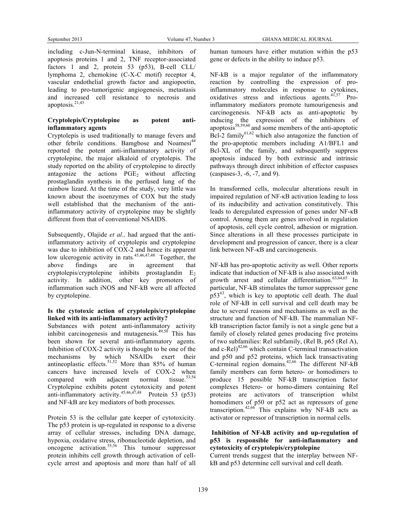including c-Jun-N-terminal kinase, inhibitors of apoptosis proteins 1 and 2, TNF receptor-associated factors 1 and 2, protein 53 (p53), B-cell CLL/ lymphoma 2, chemokine (C-X-C motif) receptor 4, vascular endothelial growth factor and angiopoetin, leading to pro-tumorigenic angiogenesis, metastasis and increased cell resistance to necrosis and apoptosis. 21,43

## **Cryptolepis/Cryptolepine as potent antiinflammatory agents**

Cryptolepis is used traditionally to manage fevers and other febrile conditions. Bamgbose and Noamesi<sup>44</sup> reported the potent anti-inflammatory activity of cryptolepine, the major alkaloid of cryptolepis. The study reported on the ability of cryptolepine to directly antagonize the actions  $PGE<sub>2</sub>$  without affecting prostaglandin synthesis in the perfused lung of the rainbow lizard. At the time of the study, very little was known about the isoenzymes of COX but the study well established that the mechanism of the antiinflammatory activity of cryptolepine may be slightly different from that of conventional NSAIDS.

Subsequently, Olajide *et al.,* had argued that the antiinflammatory activity of cryptolepis and cryptolepine was due to inhibition of COX-2 and hence its apparent low ulcerogenic activity in rats.<sup>45,46,47,48</sup> Together, the above findings are in agreement that cryptolepis/cryptolepine inhibits prostaglandin E2 activity. In addition, other key promoters of inflammation such iNOS and NF-kB were all affected by cryptolepine.

## **Is the cytotoxic action of cryptolepis/cryptolepine linked with its anti-inflammatory activity?**

Substances with potent anti-inflammatory activity inhibit carcinogenesis and mutagenesis. 49,50 This has been shown for several anti-inflammatory agents. Inhibition of COX-2 activity is thought to be one of the mechanisms by which NSAIDs exert their antineoplastic effects.<sup>51,52</sup> More than 85% of human cancers have increased levels of COX-2 when compared with adjacent normal tissue.<sup>53,54</sup> Cryptolepine exhibits potent cytotoxicity and potent anti-inflammatory activity.<sup>45,46,47,48</sup> Protein 53 (p53) and NF-kB are key mediators of both processes.

Protein 53 is the cellular gate keeper of cytotoxicity. The p53 protein is up-regulated in response to a diverse array of cellular stresses, including DNA damage, hypoxia, oxidative stress, ribonucleotide depletion, and oncogene activation. 55,56 This tumour suppressor protein inhibits cell growth through activation of cellcycle arrest and apoptosis and more than half of all human tumours have either mutation within the p53 gene or defects in the ability to induce p53.

NF-kB is a major regulator of the inflammatory reaction by controlling the expression of proinflammatory molecules in response to cytokines, oxidatives stress and infectious agents.<sup>41,57</sup> Proinflammatory mediators promote tumourigenesis and carcinogenesis. NF-kB acts as anti-apoptotic by inducing the expression of the inhibitors of apoptosis ${}^{58,59,60}$  and some members of the anti-apoptotic Bcl-2 family $^{61,62}$  which also antagonize the function of the pro-apoptotic members including A1/BFL1 and Bcl-XL of the family, and subsequently suppress apoptosis induced by both extrinsic and intrinsic pathways through direct inhibition of effector caspases (caspases-3, -6, -7, and 9).

In transformed cells, molecular alterations result in impaired regulation of NF-κB activation leading to loss of its inducibility and activation constitutively. This leads to deregulated expression of genes under NF-κB control. Among them are genes involved in regulation of apoptosis, cell cycle control, adhesion or migration. Since alterations in all these processes participate in development and progression of cancer, there is a clear link between NF-κB and carcinogenesis.

NF-kB has pro-apoptotic activity as well. Other reports indicate that induction of NF-kB is also associated with growth arrest and cellular differentiation. 63,64,65 In particular, NF-kB stimulates the tumor suppressor gene  $p53<sup>63</sup>$ , which is key to apoptotic cell death. The dual role of NF-kB in cell survival and cell death may be due to several reasons and mechanisms as well as the structure and function of NF-kB. The mammalian NFkB transcription factor family is not a single gene but a family of closely related genes producing five proteins of two subfamilies: Rel subfamily, (Rel B, p65 (Rel A), and  $c$ -Rel)<sup>42,66</sup> which contain C-terminal transactivation and p50 and p52 proteins, which lack transactivating C-terminal region domains. 42,66 The different NF-kB family members can form hetero- or homodimers to produce 15 possible NF-kB transcription factor complexes Hetero- or homo-dimers containing Rel proteins are activators of transcription whilst homodimers of p50 or p52 act as repressors of gene transcription.<sup>42,66</sup> This explains why NF-kB acts as activator or repressor of transcription in normal cells.

#### **Inhibition of NF-kB activity and up-regulation of p53 is responsible for anti-inflammatory and cytotoxicity of cryptolepis/cryptolepine**

Current trends suggest that the interplay between NFkB and p53 determine cell survival and cell death.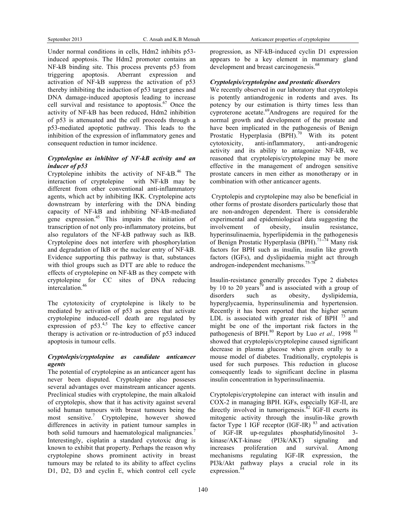Under normal conditions in cells, Hdm2 inhibits p53 induced apoptosis. The Hdm2 promoter contains an NF-kB binding site. This process prevents p53 from triggering apoptosis. Aberrant expression and activation of NF-kB suppress the activation of p53 thereby inhibiting the induction of p53 target genes and DNA damage-induced apoptosis leading to increase cell survival and resistance to apoptosis. $67$  Once the activity of NF-kB has been reduced, Hdm2 inhibition of p53 is attenuated and the cell proceeds through a p53-mediated apoptotic pathway. This leads to the inhibition of the expression of inflammatory genes and consequent reduction in tumor incidence.

#### *Cryptolepine as inhibitor of NF-kB activity and an inducer of p53*

Cryptolepine inhibits the activity of NF-kB.<sup>46</sup> The interaction of cryptolepine with NF-kB may be different from other conventional anti-inflammatory agents, which act by inhibiting IKK. Cryptolepine acts downstream by interfering with the DNA binding capacity of NF-kB and inhibiting NF-kB-mediated gene expression. <sup>45</sup> This impairs the initiation of transcription of not only pro-inflammatory proteins, but also regulators of the NF-kB pathway such as IkB. Cryptolepine does not interfere with phosphorylation and degradation of IkB or the nuclear entry of NF-kB. Evidence supporting this pathway is that, substances with thiol groups such as DTT are able to reduce the effects of cryptolepine on NF-kB as they compete with cryptolepine for CC sites of DNA reducing intercalation. 46

The cytotoxicity of cryptolepine is likely to be mediated by activation of p53 as genes that activate cryptolepine induced-cell death are regulated by expression of  $p53.45$ . The key to effective cancer therapy is activation or re-introduction of p53 induced apoptosis in tumour cells.

## *Cryptolepis/cryptolepine as candidate anticancer agents*

The potential of cryptolepine as an anticancer agent has never been disputed. Cryptolepine also posseses several advantages over mainstream anticancer agents. Preclinical studies with cryptolepine, the main alkaloid of cryptolepis, show that it has activity against several solid human tumours with breast tumours being the most sensitive. <sup>7</sup> Cryptolepine, however showed differences in activity in patient tumour samples in both solid tumours and haematological malignancies.<sup>7</sup> Interestingly, cisplatin a standard cytotoxic drug is known to exhibit that property. Perhaps the reason why cryptolepine shows prominent activity in breast tumours may be related to its ability to affect cyclins D1, D2, D3 and cyclin E, which control cell cycle progression, as NF-kB-induced cyclin D1 expression appears to be a key element in mammary gland development and breast carcinogenesis.<sup>68</sup>

#### *Cryptolepis/cryptolepine and prostatic disorders*

We recently observed in our laboratory that cryptolepis is potently antiandrogenic in rodents and aves. Its potency by our estimation is thirty times less than cyproterone acetate.<sup>69</sup>Androgens are required for the normal growth and development of the prostate and have been implicated in the pathogenesis of Benign Prostatic Hyperplasia  $(BPH).$ <sup>70</sup> With its potent cytotoxicity, anti-inflammatory, anti-androgenic activity and its ability to antagonize NF-kB, we reasoned that cryptolepis/cryptolepine may be more effective in the management of androgen sensitive prostate cancers in men either as monotherapy or in combination with other anticancer agents.

Cryptolepis and cryptolepine may also be beneficial in other forms of prostate disorders particularly those that are non-androgen dependent. There is considerable experimental and epidemiological data suggesting the involvement of obesity, insulin resistance, hyperinsulinaemia, hyperlipidemia in the pathogenesis of Benign Prostatic Hyperplasia (BPH).<sup>71-74</sup> Many risk factors for BPH such as insulin, insulin like growth factors (IGFs), and dyslipidaemia might act through androgen-independent mechanisms.75-78

Insulin-resistance generally precedes Type 2 diabetes by 10 to 20 years<sup> $\bar{79}$ </sup> and is associated with a group of disorders such as obesity, dyslipidemia, hyperglycaemia, hyperinsulinemia and hypertension. Recently it has been reported that the higher serum LDL is associated with greater risk of BPH  $^{73}$  and might be one of the important risk factors in the pathogenesis of BPH.<sup>80</sup> Report by Luo et al., 1998<sup>81</sup> showed that cryptolepis/cryptolepine caused significant decrease in plasma glucose when given orally to a mouse model of diabetes. Traditionally, cryptolepis is used for such purposes. This reduction in glucose consequently leads to significant decline in plasma insulin concentration in hyperinsulinaemia.

Cryptolepis/cryptolepine can interact with insulin and COX-2 in managing BPH. IGFs, especially IGF-II, are directly involved in tumorigenesis.<sup>82</sup> IGF-II exerts its mitogenic activity through the insulin-like growth factor Type 1 IGF receptor (IGF-IR)<sup>83</sup> and activation of IGF-IR up-regulates phosphatidylinositol 3 kinase/AKT-kinase (PI3k/AKT) signaling and increases proliferation and survival. Among mechanisms regulating IGF-IR expression, the PI3k/Akt pathway plays a crucial role in its expression.<sup>84</sup>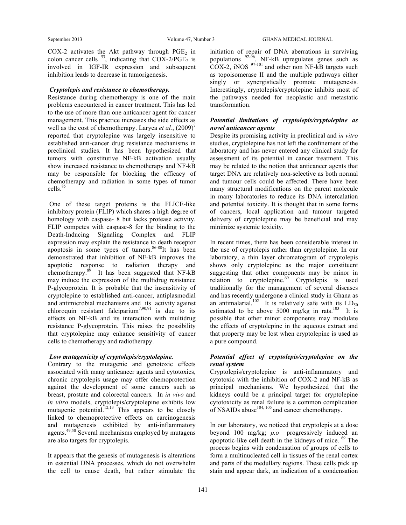COX-2 activates the Akt pathway through  $PGE<sub>2</sub>$  in colon cancer cells  $^{53}$ , indicating that COX-2/PGE<sub>2</sub> is involved in IGF-IR expression and subsequent inhibition leads to decrease in tumorigenesis.

#### *Cryptolepis and resistance to chemotherapy.*

Resistance during chemotherapy is one of the main problems encountered in cancer treatment. This has led to the use of more than one anticancer agent for cancer management. This practice increases the side effects as well as the cost of chemotherapy. Laryea *et al.*,  $(2009)^7$ reported that cryptolepine was largely insensitive to established anti-cancer drug resistance mechanisms in preclinical studies. It has been hypothesized that tumors with constitutive NF-kB activation usually show increased resistance to chemotherapy and NF-kB may be responsible for blocking the efficacy of chemotherapy and radiation in some types of tumor cells. 85

One of these target proteins is the FLICE-like inhibitory protein (FLIP) which shares a high degree of homology with caspase- 8 but lacks protease activity. FLIP competes with caspase-8 for the binding to the Death-Inducing Signaling Complex and FLIP expression may explain the resistance to death receptor apoptosis in some types of tumors. 86-88 It has been demonstrated that inhibition of NF-kB improves the apoptotic response to radiation therapy and chemotherapy. <sup>89</sup> It has been suggested that NF-kB may induce the expression of the multidrug resistance P-glycoprotein. It is probable that the insensitivity of cryptolepine to established anti-cancer, antiplasmodial and antimicrobial mechanisms and its activity against chloroquin resistant falciparium<sup>7,90,91</sup> is due to its effects on NF-kB and its interaction with multidrug resistance P-glycoprotein. This raises the possibility that cryptolepine may enhance sensitivity of cancer cells to chemotherapy and radiotherapy.

## *Low mutagenicity of cryptolepis/cryptolepine.*

Contrary to the mutagenic and genotoxic effects associated with many anticancer agents and cytotoxics, chronic cryptolepis usage may offer chemoprotection against the development of some cancers such as breast, prostate and colorectal cancers. In *in vivo* and *in vitro* models, cryptolepis/cryptolepine exhibits low mutagenic potential.<sup>12,13</sup> This appears to be closely linked to chemoprotective effects on carcinogenesis and mutagenesis exhibited by anti-inflammatory agents.<sup>49,50</sup> Several mechanisms employed by mutagens are also targets for cryptolepis.

It appears that the genesis of mutagenesis is alterations in essential DNA processes, which do not overwhelm the cell to cause death, but rather stimulate the initiation of repair of DNA aberrations in surviving populations  $92-96$ . NF-kB upregulates genes such as  $COX-2$ , iNOS  $97-101$  and other non NF-kB targets such as topoisomerase II and the multiple pathways either singly or synergistically promote mutagenesis. Interestingly, cryptolepis/cryptolepine inhibits most of the pathways needed for neoplastic and metastatic transformation.

## *Potential limitations of cryptolepis/cryptolepine as novel anticancer agents*

Despite its promising activity in preclinical and *in vitro* studies, cryptolepine has not left the confinement of the laboratory and has never entered any clinical study for assessment of its potential in cancer treatment. This may be related to the notion that anticancer agents that target DNA are relatively non-selective as both normal and tumour cells could be affected. There have been many structural modifications on the parent molecule in many laboratories to reduce its DNA intercalation and potential toxicity. It is thought that in some forms of cancers, local application and tumour targeted delivery of cryptolepine may be beneficial and may minimize systemic toxicity.

In recent times, there has been considerable interest in the use of cryptolepis rather than cryptolepine. In our laboratory, a thin layer chromatogram of cryptolepis shows only cryptolepine as the major constituent suggesting that other components may be minor in relation to cryptolepine.<sup>69</sup> Cryptolepis is used traditionally for the management of several diseases and has recently undergone a clinical study in Ghana as an antimalarial.<sup>102</sup> It is relatively safe with its  $LD_{50}$ estimated to be above 5000 mg/kg in rats.<sup>103</sup> It is possible that other minor components may modulate the effects of cryptolepine in the aqueous extract and that property may be lost when cryptolepine is used as a pure compound.

## *Potential effect of cryptolepis/cryptolepine on the renal system*

Cryptolepis/cryptolepine is anti-inflammatory and cytotoxic with the inhibition of COX-2 and NF-kB as principal mechanisms. We hypothesized that the kidneys could be a principal target for cryptolepine cytotoxicity as renal failure is a common complication of NSAIDs abuse<sup> $104, 105$ </sup> and cancer chemotherapy.

In our laboratory, we noticed that cryptolepis at a dose beyond 100 mg/kg; *p.o* progressively induced an apoptotic-like cell death in the kidneys of mice. <sup>69</sup> The process begins with condensation of groups of cells to form a multinucleated cell in tissues of the renal cortex and parts of the medullary regions. These cells pick up stain and appear dark, an indication of a condensation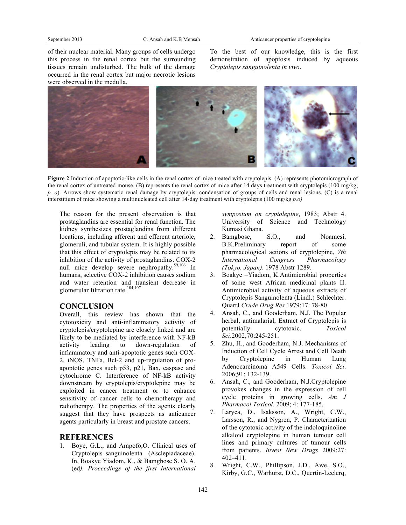of their nuclear material. Many groups of cells undergo this process in the renal cortex but the surrounding tissues remain undisturbed. The bulk of the damage occurred in the renal cortex but major necrotic lesions were observed in the medulla.

To the best of our knowledge, this is the first demonstration of apoptosis induced by aqueous *Cryptolepis sanguinolenta in vivo*.



**Figure 2** Induction of apoptotic-like cells in the renal cortex of mice treated with cryptolepis. (A) represents photomicrograph of the renal cortex of untreated mouse. (B) represents the renal cortex of mice after 14 days treatment with cryptolepis (100 mg/kg; *p. o*). Arrows show systematic renal damage by cryptolepis: condensation of groups of cells and renal lesions. (C) is a renal interstitium of mice showing a multinucleated cell after 14-day treatment with cryptolepis (100 mg/kg *p.o)*

The reason for the present observation is that prostaglandins are essential for renal function. The kidney synthesizes prostaglandins from different locations, including afferent and efferent arteriole, glomeruli, and tubular system. It is highly possible that this effect of cryptolepis may be related to its inhibition of the activity of prostaglandins. COX-2 null mice develop severe nephropathy.<sup>59,106</sup> In humans, selective COX-2 inhibition causes sodium and water retention and transient decrease in glomerular filtration rate. 104,107

# **CONCLUSION**

Overall, this review has shown that the cytotoxicity and anti-inflammatory activity of cryptolepis/cryptolepine are closely linked and are likely to be mediated by interference with NF-kB activity leading to down-regulation of inflammatory and anti-apoptotic genes such COX-2, iNOS, TNFa, Bcl-2 and up-regulation of proapoptotic genes such p53, p21, Bax, caspase and cytochrome C. Interference of NF-kB activity downstream by cryptolepis/cryptolepine may be exploited in cancer treatment or to enhance sensitivity of cancer cells to chemotherapy and radiotherapy. The properties of the agents clearly suggest that they have prospects as anticancer agents particularly in breast and prostate cancers.

#### **REFERENCES**

1. Boye, G.L., and Ampofo,O. Clinical uses of Cryptolepis sanguinolenta (Asclepiadaceae). In, Boakye Yiadom, K., & Bamgbose S. O. A. (ed*). Proceedings of the first International* 

*symposium on cryptolepine*, 1983; Abstr 4. University of Science and Technology Kumasi Ghana.

- 2. Bamgbose, S.O., and Noamesi, B.K.Preliminary report of some pharmacological actions of cryptolepine, *7th International Congress Pharmacology (Tokyo, Japan)*. 1978 Abstr 1289.
- 3. Boakye –Yiadom, K.Antimicrobial properties of some west African medicinal plants II. Antimicrobial activity of aqueous extracts of Cryptolepis Sanguinolenta (Lindl.) Schlechter. QuartJ *Crude Drug Res* 1979;17: 78-80
- 4. Ansah, C., and Gooderham, N.J. The Popular herbal, antimalarial, Extract of Cryptolepis is potentially cytotoxic. *Toxicol Sci*.2002;70:245-251.
- 5. Zhu, H., and Gooderham, N.J. Mechanisms of Induction of Cell Cycle Arrest and Cell Death by Cryptolepine in Human Lung Adenocarcinoma A549 Cells. *Toxicol Sci*. 2006;91: 132-139.
- 6. Ansah, C., and Gooderham, N.J.Cryptolepine provokes changes in the expression of cell cycle proteins in growing cells. *Am J Pharmacol Toxicol*. 2009; 4: 177-185.
- 7. Laryea, D., Isaksson, A., Wright, C.W., Larsson, R., and Nygren, P. Characterization of the cytotoxic activity of the indoloquinoline alkaloid cryptolepine in human tumour cell lines and primary cultures of tumour cells from patients. *Invest New Drugs* 2009;27: 402–411.
- 8. Wright, C.W., Phillipson, J.D., Awe, S.O., Kirby, G.C., Warhurst, D.C., Quertin-Leclerq,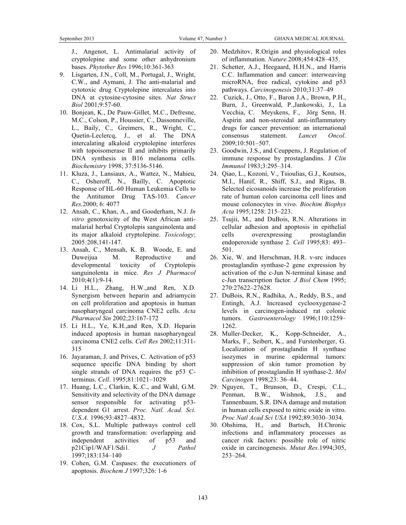J., Angenot, L. Antimalarial activity of cryptolepine and some other anhydronium bases. *Phytother Res* 1996;10:361-363

- 9. Lisgarten, J.N., Coll, M., Portugal, J., Wright, C.W., and Aymani, J. The anti-malarial and cytotoxic drug Cryptolepine intercalates into DNA at cytosine-cytosine sites. *Nat Struct Biol* 2001;9:57-60.
- 10. Bonjean, K., De Pauw-Gillet, M.C., Defresne, M.C., Colson, P., Houssier, C., Dassonneville, L., Baily, C., Greimers, R., Wright, C., Quetin-Leclercq, J., et al. The DNA intercalating alkaloid cryptolepine interferes with topoisomerase II and inhibits primarily DNA synthesis in B16 melanoma cells. *Biochemistry* 1998; 37:5136-5146.
- 11. Kluza, J., Lansiaux, A., Wattez, N., Mahieu, C., Osheroff, N., Bailly, C. Apoptotic Response of HL-60 Human Leukemia Cells to the Antitumor Drug TAS-103. *Cancer Res.*2000; 6: 4077
- 12. Ansah, C., Khan, A., and Gooderham, N.J. *In vitro* genotoxicity of the West African antimalarial herbal Cryptolepis sanguinolenta and its major alkaloid cryptolepine. *Toxicology*; 2005*:*208,141-147.
- 13. Ansah, C., Mensah, K. B. Woode, E. and Duweijua M. Reproductive and developmental toxicity of Cryptolepis sanguinolenta in mice. *Res J Pharmacol* 2010;4(1):9-14.
- 14. Li H.L., Zhang, H.W.,and Ren, X.D. Synergism between heparin and adriamycin on cell proliferation and apoptosis in human nasopharyngeal carcinoma CNE2 cells. *Acta Pharmacol Sin* 2002;23:167-172
- 15. Li H.L., Ye, K.H.,and Ren, X.D. Heparin induced apoptosis in human nasopharyngeal carcinoma CNE2 cells. *Cell Res* 2002;11:311- 315
- 16. Jayaraman, J. and Prives, C. Activation of p53 sequence specific DNA binding by short single strands of DNA requires the p53 Cterminus. *Cell*. 1995;81:1021–1029
- 17. Huang, L.C., Clarkin, K..C., and Wahl, G.M. Sensitivity and selectivity of the DNA damage sensor responsible for activating p53 dependent G1 arrest. *Proc. Natl. Acad. Sci. U.S.A.* 1996;93:4827–4832.
- 18. Cox, S.L. Multiple pathways control cell growth and transformation: overlapping and independent activities of p53 and p21Cip1/WAF1/Sdi1*. J Pathol* 1997;183:134–140
- 19. Cohen, G.M. Caspases: the executioners of apoptosis. *Biochem J* 1997;326: 1-6
- 20. Medzhitov, R.Origin and physiological roles of inflammation. *Nature.*2008;454:428–435.
- 21. Schetter, A.J., Heegaard, H.H.N., and Harris C.C. Inflammation and cancer: interweaving microRNA, free radical, cytokine and p53 pathways. *Carcinogenesis* 2010;31:37–49
- 22. Cuzick, J., Otto, F., Baron J.A., Brown, P.H., Burn, J., Greenwald, P.,Jankowski, J., La Vecchia, C. Meyskens, F., Jörg Senn, H. Aspirin and non-steroidal anti-inflammatory drugs for cancer prevention: an international consensus statement. *Lancet Oncol*. 2009;10:501–507.
- 23. Goodwin, J.S., and Ceuppens, J. Regulation of immune response by prostaglandins. J *Clin Immunol* 1983;3:295–314.
- 24. Qiao, L., Kozoni, V., Tsioulias, G.J., Koutsos, M.I., Hanif, R., Shiff, S.J., and Rigas, B. Selected eicosanoids increase the proliferation rate of human colon carcinoma cell lines and mouse colonocytes in vivo. *Biochim Biophys Acta* 1995;1258: 215–223.
- 25. Tsujii, M., and DuBois, R.N. Alterations in cellular adhesion and apoptosis in epithelial cells overexpressing prostaglandin endoperoxide synthase 2*. Cell* 1995;83: 493– 501.
- 26. Xie, W. and Herschman, H.R. v-src induces prostaglandin synthase-2 gene expression by activation of the c-Jun N-terminal kinase and c-Jun transcription factor*. J Biol Chem* 1995; 270:27622–27628.
- 27. DuBois, R.N., Radhika, A., Reddy, B.S., and Entingh, A.J. Increased cyclooxygenase-2 levels in carcinogen-induced rat colonic tumors. *Gastroenterology* 1996;110:1259– 1262.
- 28. Muller-Decker, K., Kopp-Schneider, A., Marks, F., Seibert, K., and Furstenberger, G. Localization of prostaglandin H synthase isozymes in murine epidermal tumors: suppression of skin tumor promotion by inhibition of prostaglandin H synthase-2. *Mol Carcinogen* 1998;23: 36–44.
- 29. Nguyen, T., Brunson, D., Crespi, C.L., Penman, B.W., Wishnok, J.S., and Tannenbaum, S.R. DNA damage and mutation in human cells exposed to nitric oxide in vitro. *Proc Natl Acad Sci USA* 1992;89:3030–3034.
- 30. Ohshima, H., and Bartsch, H.Chronic infections and inflammatory processes as cancer risk factors: possible role of nitric oxide in carcinogenesis. *Mutat Res*.1994;305, 253–264.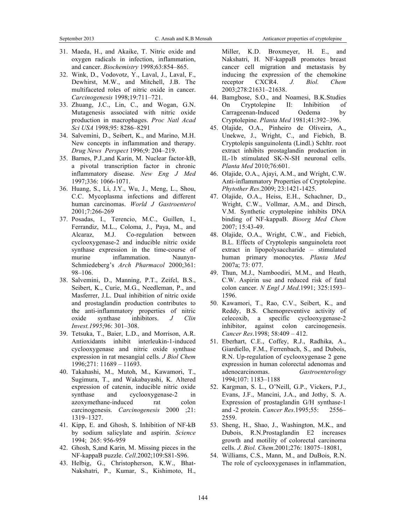- 31. Maeda, H., and Akaike, T. Nitric oxide and oxygen radicals in infection, inflammation, and cancer. *Biochemistry* 1998;63:854–865.
- 32. Wink, D., Vodovotz, Y., Laval, J., Laval, F., Dewhirst, M.W., and Mitchell, J.B. The multifaceted roles of nitric oxide in cancer. *Carcinogenesis* 1998;19:711–721.
- 33. Zhuang, J.C., Lin, C., and Wogan, G.N. Mutagenesis associated with nitric oxide production in macrophages. *Proc Natl Acad Sci USA* 1998;95: 8286–8291
- 34. Salvemini, D., Seibert, K., and Marino, M.H. New concepts in inflammation and therapy. *Drug News Perspect* 1996;9: 204–219.
- 35. Barnes, P.J.,and Karin, M. Nuclear factor-kB, a pivotal transcription factor in chronic inflammatory disease. *New Eng J Med* 1997;336: 1066-1071.
- 36. Huang, S., Li, J.Y., Wu, J., Meng, L., Shou, C.C. Mycoplasma infections and different human carcinomas. *World J Gastroenterol* 2001;7:266-269
- 37. Posadas, I., Terencio, M.C., Guillen, I., Ferrandiz, M.L., Coloma, J., Paya, M., and Alcaraz, M.J. Co-regulation between cyclooxygenase-2 and inducible nitric oxide synthase expression in the time-course of murine inflammation. Naunyn-Schmiedeberg's *Arch Pharmacol* 2000;361: 98–106.
- 38. Salvemini, D., Manning, P.T., Zeifel, B.S., Seibert, K., Curie, M.G., Needleman, P., and Masferrer, J.L. Dual inhibition of nitric oxide and prostaglandin production contributes to the anti-inflammatory properties of nitric oxide synthase inhibitors. *J Clin Invest.1995*;96: 301–308.
- 39. Tetsuka, T., Baier, L.D., and Morrison, A.R. Antioxidants inhibit interleukin-1-induced cyclooxygenase and nitric oxide synthase expression in rat mesangial cells. *J Biol Chem* 1996;271: 11689 – 11693.
- 40. Takahashi, M., Mutoh, M., Kawamori, T., Sugimura, T., and Wakabayashi, K. Altered expression of catenin, inducible nitric oxide synthase and cyclooxygenase-2 in azoxymethane-induced rat colon carcinogenesis. *Carcinogenesis* 2000 ;21: 1319–1327.
- 41. Kipp, E. and Ghosh, S. Inhibition of NF-kB by sodium salicylate and aspirin. *Science* 1994; 265: 956-959
- 42. Ghosh, S,and Karin, M. Missing pieces in the NF-kappaB puzzle. *Cell*.2002;109:S81-S96.
- 43. Helbig, G., Christopherson, K.W., Bhat-Nakshatri, P., Kumar, S., Kishimoto, H.,

Miller, K.D. Broxmeyer, H. E., and Nakshatri, H. NF-kappaB promotes breast cancer cell migration and metastasis by inducing the expression of the chemokine receptor CXCR4. *J. Biol. Chem* 2003;278:21631–21638.

- 44. Bamgbose, S.O., and Noamesi, B.K.Studies On Cryptolepine II: Inhibition of Carrageenan-Induced Oedema by Cryptolepine. *Planta Med* 1981;41:392–396.
- 45. Olajide, O.A., Pinheiro de Oliveira, A., Unekwe, J., Wright, C., and Fiebich, B. Cryptolepis sanguinolenta (Lindl.) Schltr. root extract inhibits prostaglandin production in IL-1b stimulated SK-N-SH neuronal cells. *Planta Med* 2010;76:601.
- 46. Olajide, O.A., Ajayi, A.M., and Wright, C.W. Anti-inflammatory Properties of Cryptolepine. *Phytother Res*.2009; 23:1421-1425.
- 47. Olajide, O.A., Heiss, E.H., Schachner, D., Wright, C.W., Vollmar, A.M., and Dirsch, V.M. Synthetic cryptolepine inhibits DNA binding of NF-kappaB. *Bioorg Med Chem* 2007; 15:43-49.
- 48. Olajide, O.A., Wright, C.W., and Fiebich, B.L. Effects of Cryptolepis sanguinoleta root extract in lipopolysaccharide – stimulated human primary monocytes. *Planta Med* 2007a; 73: 077.
- 49. Thun, M.J., Namboodiri, M.M., and Heath, C.W. Aspirin use and reduced risk of fatal colon cancer. *N Engl J Med*.1991; 325:1593– 1596.
- 50. Kawamori, T., Rao, C.V., Seibert, K., and Reddy, B.S. Chemopreventive activity of celecoxib, a specific cyclooxygenase-2 inhibitor, against colon carcinogenesis. *Cancer Res*.1998; 58:409 – 412.
- 51. Eberhart, C.E., Coffey, R.J., Radhika, A., Giardiello, F.M., Ferrenbach, S., and Dubois, R.N. Up-regulation of cyclooxygenase 2 gene expression in human colorectal adenomas and adenocarcinomas. *Gastroenterology* 1994;107: 1183–1188
- 52. Kargman, S. L., O'Neill, G.P., Vickers, P.J., Evans, J.F., Mancini, J.A., and Jothy, S. A. Expression of prostaglandin G/H synthase-1 and -2 protein. *Cancer Res*.1995;55: 2556– 2559.
- 53. Sheng, H., Shao, J., Washington, M.K., and Dubois, R.N.Prostaglandin E2 increases growth and motility of colorectal carcinoma cells. *J. Biol. Chem*.2001;276: 18075–18081,
- 54. Williams, C.S., Mann, M., and DuBois, R.N. The role of cyclooxygenases in inflammation,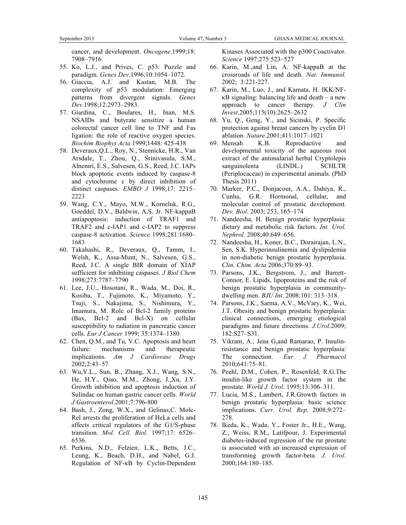cancer, and development. *Oncogene*.1999;18: 7908–7916.

- 55. Ko, L.J., and Prives, C. p53: Puzzle and paradigm. *Genes Dev*.1996;10:1054–1072.
- 56. Giaccia, A.J. and Kastan, M.B. The complexity of p53 modulation: Emerging patterns from divergent signals. *Genes Dev*.1998;12:2973–2983.
- 57. Giardina, C., Boulares, H., Inan, M.S. NSAIDs and butyrate sensitize a human colorectal cancer cell line to TNF and Fas ligation: the role of reactive oxygen species. *Biochim Biophys Acta* 1999;1448: 425-438
- 58. Deveraux,Q.L., Roy, N., Stennicke, H.R., Van Arsdale, T., Zhou, Q., Srinivasula, S.M., Alnemri, E.S., Salvesen, G.S., Reed, J.C. IAPs block apoptotic events induced by caspase-8 and cytochrome c by direct inhibition of distinct caspases. *EMBO J* 1998;17: 2215– 2223
- 59. Wang, C.Y., Mayo, M.W., Korneluk, R.G., Goeddel, D.V., Baldwin, A.S. Jr. NF-kappaB antiapoptosis: induction of TRAF1 and TRAF2 and c-IAP1 and c-IAP2 to suppress caspase-8 activation. *Science* 1998;281:1680– 1683
- 60. Takahashi, R., Deveraux, Q., Tamm, I., Welsh, K., Assa-Munt, N., Salvesen, G.S., Reed, J.C. A single BIR domain of XIAP sufficient for inhibiting caspases. *J Biol Chem* 1998;273:7787–7790
- 61. Lee, J.U., Hosotani, R., Wada, M., Doi, R., Kosiba, T., Fujimoto, K., Miyamoto, Y., Tsuji, S., Nakajima, S., Nishimura, Y., Imamura, M. Role of Bcl-2 family proteins (Bax, Bcl-2 and Bcl-X) on cellular susceptibility to radiation in pancreatic cancer cells. *Eur J Cancer* 1999; 35:1374–1380
- 62. Chen, Q.M., and Tu, V.C. Apoptosis and heart failure: mechanisms and therapeutic implications. *Am J Cardiovasc Drugs* 2002;2:43–57
- 63. Wu,Y.L., Sun, B., Zhang, X.J., Wang, S.N., He, H.Y., Qiao, M.M., Zhong, J.,Xu, J.Y. Growth inhibition and apoptosis induction of Sulindac on human gastric cancer cells. *World J Gastroenterol*.2001;7:796-800
- 64. Bash, J., Zong, W.X., and Gelinas,C. Molc-Rel arrests the proliferation of HeLa cells and affects critical regulators of the G1/S-phase transition. *Mol. Cell. Biol*. 1997;17: 6526– 6536.
- 65. Perkins, N.D., Felzien, L.K., Betts, J.C., Leung, K., Beach, D.H., and Nabel, G.J. Regulation of NF-κB by Cyclin-Dependent

Kinases Associated with the p300 Coactivator. *Science* 1997;275:523–527

- 66. Karin, M.,and Lin, A. NF-kappaB at the crossroads of life and death. *Nat. Immunol.* 2002; 3:221-227.
- 67. Karin, M., Luo, J., and Kamata, H. IKK/NFκB signaling: balancing life and death – a new approach to cancer therapy. *J Clin Invest*.2005;115(10):2625–2632
- 68. Yu, Q., Geng, Y., and Sicinski, P. Specific protection against breast cancers by cyclin D1 ablation. *Nature*.2001;411:1017–1021
- 69. Mensah K.B. Reproductive and developmental toxicity of the aqueous root extract of the antimalarial herbal Cryptolepis sanguinolenta (LINDL.) SCHLTR (Periplocaceae) in experimental animals. (PhD Thesis 2011)
- 70. Marker, P.C., Donjacour, A.A., Dahiya, R., Cunha, G.R. Hormonal, cellular, and molecular control of prostatic development. *Dev. Biol*. 2003; 253, 165–174
- 71. Nandeesha, H. Benign prostatic hyperplasia: dietary and metabolic risk factors. *Int. Urol. Nephrol.* 2008;40:649–656.
- 72. Nandeesha, H., Koner, B.C., Dorairajan, L.N., Sen, S.K. Hyperinsulinemia and dyslipidemia in non-diabetic benign prostatic hyperplasia. *Clin. Chim. Acta* 2006;370:89–93.
- 73. Parsons, J.K., Bergstrom, J., and Barrett-Connor, E. Lipids, lipoproteins and the risk of benign prostatic hyperplasia in communitydwelling men. *BJU Int*. 2008;101: 313–318.
- 74. Parsons, J.K., Sarma, A.V., McVary, K., Wei, J.T. Obesity and benign prostatic hyperplasia: clinical connections, emerging etiological paradigms and future directions. *J.Urol*.2009; 182:S27–S31.
- 75. Vikram, A., Jena G,and Ramarao, P. Insulinresistance and benign prostatic hyperplasia: The connection. *Eur J Pharmacol* 2010;641:75–81.
- 76. Peehl, D.M., Cohen, P., Rosenfeld, R.G.The insulin-like growth factor system in the prostate. *World J. Urol*. 1995;13:306–311.
- 77. Lucia, M.S., Lambert, J.R.Growth factors in benign prostatic hyperplasia: basic science implications. *Curr. Urol. Rep.* 2008;9:272– 278.
- 78. Ikeda, K., Wada, Y., Foster Jr., H.E., Wang, Z., Weiss, R.M., Latifpour, J. Experimental diabetes-induced regression of the rat prostate is associated with an increased expression of transforming growth factor-beta*. J. Urol*. 2000;164:180–185.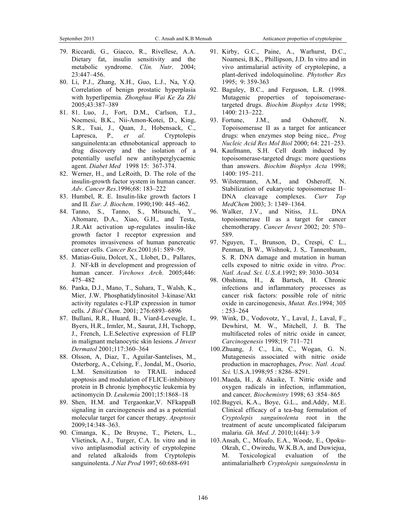- 79. Riccardi, G., Giacco, R., Rivellese, A.A. Dietary fat, insulin sensitivity and the metabolic syndrome. *Clin. Nutr*. 2004; 23:447–456.
- 80. Li, P.J., Zhang, X.H., Guo, L.J., Na, Y.Q. Correlation of benign prostatic hyperplasia with hyperlipemia. *Zhonghua Wai Ke Za Zhi* 2005;43:387–389
- 81. 81. Luo, J., Fort, D.M., Carlson, T.J., Noemesi, B.K., Nii-Amon-Kotei, D., King, S.R., Tsai, J., Quan, J., Hobensack, C., Lapresca, P.*, et al.* Cryptolepis sanguinolenta:an ethnobotanical approach to drug discovery and the isolation of a potentially useful new antihyperglycaemic agent. *Diabet Med* 1998 15: 367-374.
- 82. Werner, H., and LeRoith, D. The role of the insulin-growth factor system in human cancer. *Adv. Cancer Res*.1996;68: 183–222
- 83. Humbel, R. E. Insulin-like growth factors I and II*. Eur. J. Biochem*. 1990;190: 445–462.
- 84. Tanno, S., Tanno, S., Mitsuuchi, Y., Altomare, D.A., Xiao, G.H., and Testa, J.R.Akt activation up-regulates insulin-like growth factor I receptor expression and promotes invasiveness of human pancreatic cancer cells. *Cancer Res.*2001;61: 589–59.
- 85. Matias-Guiu, Dolcet, X., Llobet, D., Pallares, J. NF-kB in development and progression of human cancer. *Virchows Arch*. 2005;446: 475–482
- 86. Panka, D.J., Mano, T., Suhara, T., Walsh, K., Mier, J.W. Phosphatidylinositol 3-kinase/Akt activity regulates c-FLIP expression in tumor cells. *J Biol Chem*. 2001; 276:6893–6896
- 87. Bullani, R.R., Huard, B., Viard-Leveugle, I., Byers, H.R., Irmler, M., Saurat, J.H, Tschopp, J., French, L.E.Selective expression of FLIP in malignant melanocytic skin lesions. *J Invest Dermatol* 2001;117:360–364
- 88. Olsson, A, Diaz, T., Aguilar-Santelises, M., Osterborg, A., Celsing, F., Jondal, M., Osorio, L.M. Sensitization to TRAIL induced apoptosis and modulation of FLICE-inhibitory protein in B chronic lymphocytic leukemia by actinomycin D. *Leukemia* 2001;15:1868–18
- 89. Shen, H.M. and Tergaonkar,V. NFkappaB signaling in carcinogenesis and as a potential molecular target for cancer therapy. *Apoptosis* 2009;14:348–363.
- 90. Cimanga, K., De Bruyne, T., Pieters, L., Vlietinck, A.J., Turger, C.A. In vitro and in vivo antiplasmodial activity of cryptolepine and related alkaloids from Cryptolepis sanguinolenta. *J Nat Prod* 1997; 60:688-691
- 91. Kirby, G.C., Paine, A., Warhurst, D.C., Noamesi, B.K., Phillipson, J.D. In vitro and in vivo antimalarial activity of cryptolepine, a plant-derived indoloquinoline. *Phytother Res* 1995; 9: 359-363
- 92. Baguley, B.C., and Ferguson, L.R. (1998. Mutagenic properties of topoisomerasetargeted drugs. *Biochim Biophys Acta* 1998; 1400: 213–222.
- 93. Fortune, J.M., and Osheroff, N. Topoisomerase II as a target for anticancer drugs: when enzymes stop being nice,. *Prog Nucleic Acid Res Mol Biol* 2000; 64: 221–253.
- 94. Kaufmann, S.H. Cell death induced by topoisomerase-targeted drugs: more questions than answers. *Biochim Biophys Acta* 1998; 1400: 195–211.
- 95. Wilstermann, A.M., and Osheroff, N. Stabilization of eukaryotic topoisomerase II– DNA cleavage complexes. *Curr Top MedChem* 2003; 3: 1349–1364.
- 96. Walker, J.V., and Nitiss, J.L. DNA topoisomerase II as a target for cancer chemotherapy. *Cancer Invest* 2002; 20: 570– 589.
- 97. Nguyen, T., Brunson, D., Crespi, C L., Penman, B W., Wishnok, J. S,. Tannenbaum, S. R. DNA damage and mutation in human cells exposed to nitric oxide in vitro. *Proc. Natl. Acad. Sci. U.S.A.*1992; 89: 3030–3034
- 98. Ohshima, H., & Bartsch, H. Chronic infections and inflammatory processes as cancer risk factors: possible role of nitric oxide in carcinogenesis, *Mutat. Res*.1994; 305 : 253–264
- 99. Wink, D., Vodovotz, Y., Laval, J., Laval, F., Dewhirst, M. W., Mitchell, J. B. The multifaceted roles of nitric oxide in cancer*, Carcinogenesis* 1998;19: 711–721
- 100.Zhuang, J. C., Lin, C., Wogan, G. N. Mutagenesis associated with nitric oxide production in macrophages, *Proc. Natl. Acad. Sci.* U.S.A.1998;95 : 8286–8291.
- 101.Maeda, H., & Akaike, T. Nitric oxide and oxygen radicals in infection, inflammation, and cancer*, Biochemistry* 1998; 63 :854–865
- 102.Bugyei, K.A., Boye, G.L., and.Addy, M.E. Clinical efficacy of a tea-bag formulation of *Cryptolepis sanguinolenta* root in the treatment of acute uncomplicated falciparum malaria. *Gh. Med. J*. 2010;1(44): 3-9
- 103.Ansah, C., Mfoafo, E.A., Woode, E., Opoku-Okrah, C., Owiredu, W.K.B.A, and Duwiejua, M. Toxicological evaluation of the antimalarialherb *Cryptolepis sanguinolenta* in